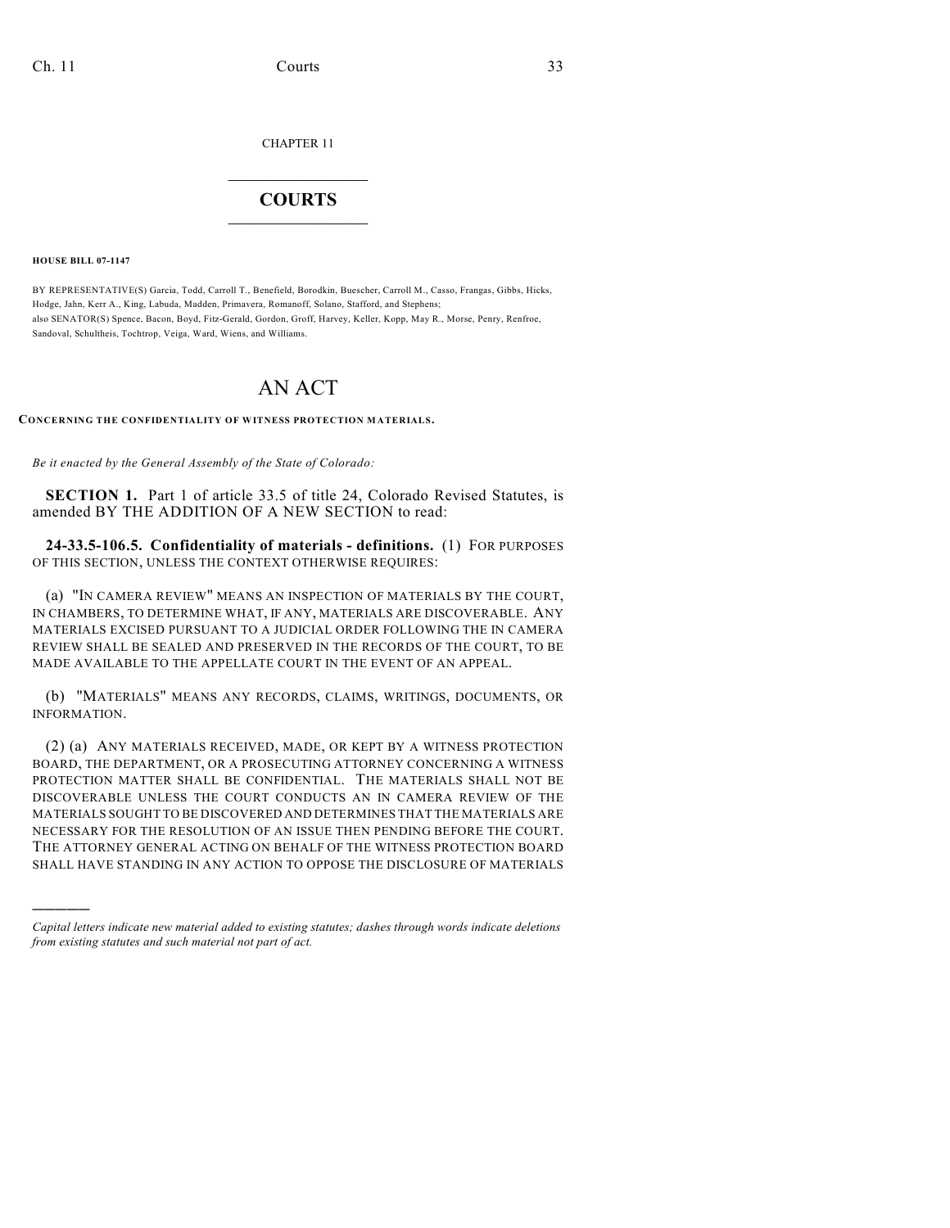CHAPTER 11

## $\mathcal{L}_\text{max}$  . The set of the set of the set of the set of the set of the set of the set of the set of the set of the set of the set of the set of the set of the set of the set of the set of the set of the set of the set **COURTS**  $\_$   $\_$   $\_$   $\_$   $\_$   $\_$   $\_$   $\_$

**HOUSE BILL 07-1147**

)))))

BY REPRESENTATIVE(S) Garcia, Todd, Carroll T., Benefield, Borodkin, Buescher, Carroll M., Casso, Frangas, Gibbs, Hicks, Hodge, Jahn, Kerr A., King, Labuda, Madden, Primavera, Romanoff, Solano, Stafford, and Stephens; also SENATOR(S) Spence, Bacon, Boyd, Fitz-Gerald, Gordon, Groff, Harvey, Keller, Kopp, May R., Morse, Penry, Renfroe, Sandoval, Schultheis, Tochtrop, Veiga, Ward, Wiens, and Williams.

## AN ACT

## **CONCERNING THE CONFIDENTIALITY OF WITNESS PROTECTION MATERIALS.**

*Be it enacted by the General Assembly of the State of Colorado:*

**SECTION 1.** Part 1 of article 33.5 of title 24, Colorado Revised Statutes, is amended BY THE ADDITION OF A NEW SECTION to read:

**24-33.5-106.5. Confidentiality of materials - definitions.** (1) FOR PURPOSES OF THIS SECTION, UNLESS THE CONTEXT OTHERWISE REQUIRES:

(a) "IN CAMERA REVIEW" MEANS AN INSPECTION OF MATERIALS BY THE COURT, IN CHAMBERS, TO DETERMINE WHAT, IF ANY, MATERIALS ARE DISCOVERABLE. ANY MATERIALS EXCISED PURSUANT TO A JUDICIAL ORDER FOLLOWING THE IN CAMERA REVIEW SHALL BE SEALED AND PRESERVED IN THE RECORDS OF THE COURT, TO BE MADE AVAILABLE TO THE APPELLATE COURT IN THE EVENT OF AN APPEAL.

(b) "MATERIALS" MEANS ANY RECORDS, CLAIMS, WRITINGS, DOCUMENTS, OR INFORMATION.

(2) (a) ANY MATERIALS RECEIVED, MADE, OR KEPT BY A WITNESS PROTECTION BOARD, THE DEPARTMENT, OR A PROSECUTING ATTORNEY CONCERNING A WITNESS PROTECTION MATTER SHALL BE CONFIDENTIAL. THE MATERIALS SHALL NOT BE DISCOVERABLE UNLESS THE COURT CONDUCTS AN IN CAMERA REVIEW OF THE MATERIALS SOUGHT TO BE DISCOVERED AND DETERMINES THAT THE MATERIALS ARE NECESSARY FOR THE RESOLUTION OF AN ISSUE THEN PENDING BEFORE THE COURT. THE ATTORNEY GENERAL ACTING ON BEHALF OF THE WITNESS PROTECTION BOARD SHALL HAVE STANDING IN ANY ACTION TO OPPOSE THE DISCLOSURE OF MATERIALS

*Capital letters indicate new material added to existing statutes; dashes through words indicate deletions from existing statutes and such material not part of act.*